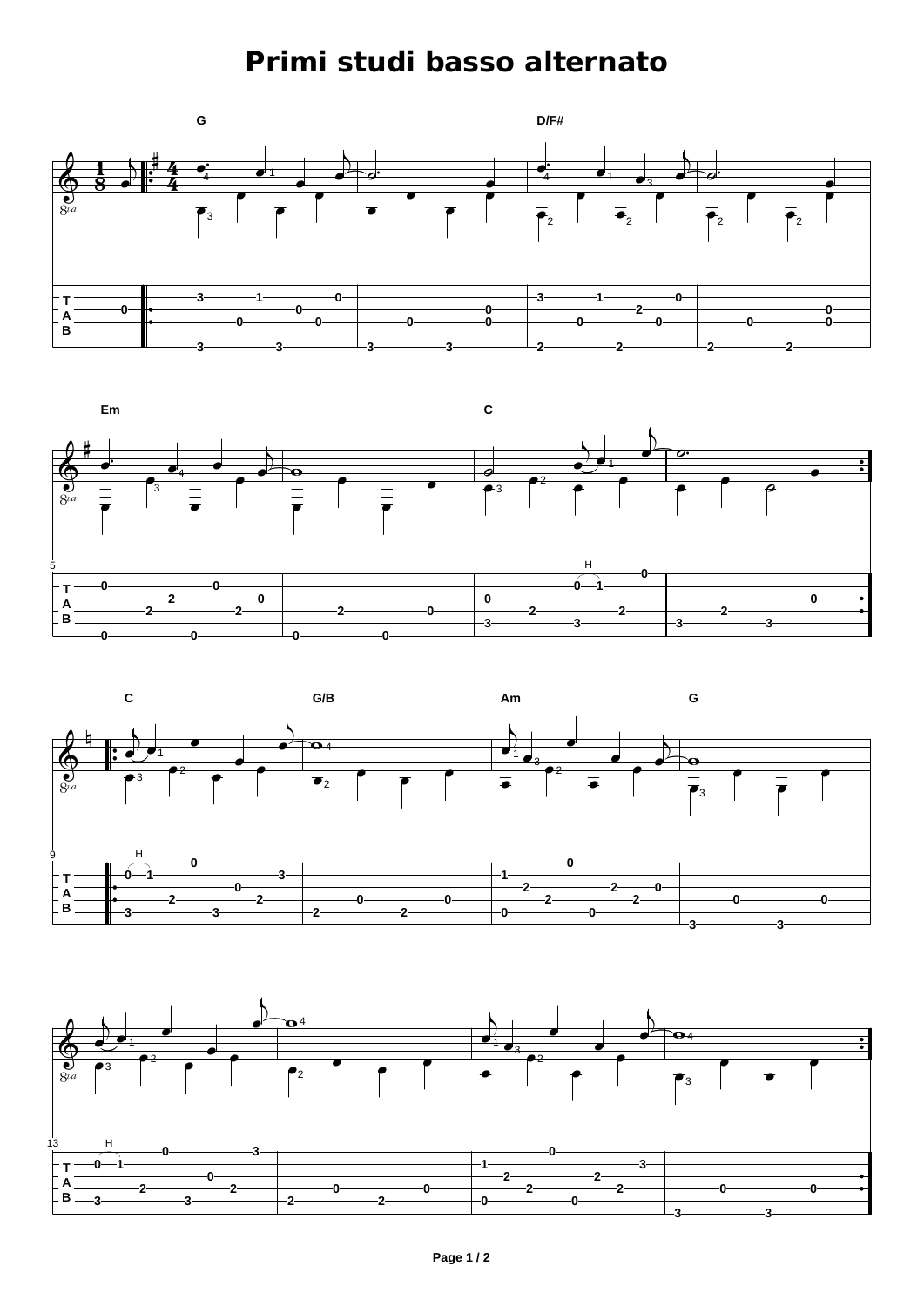## **Primi studi basso alternato**